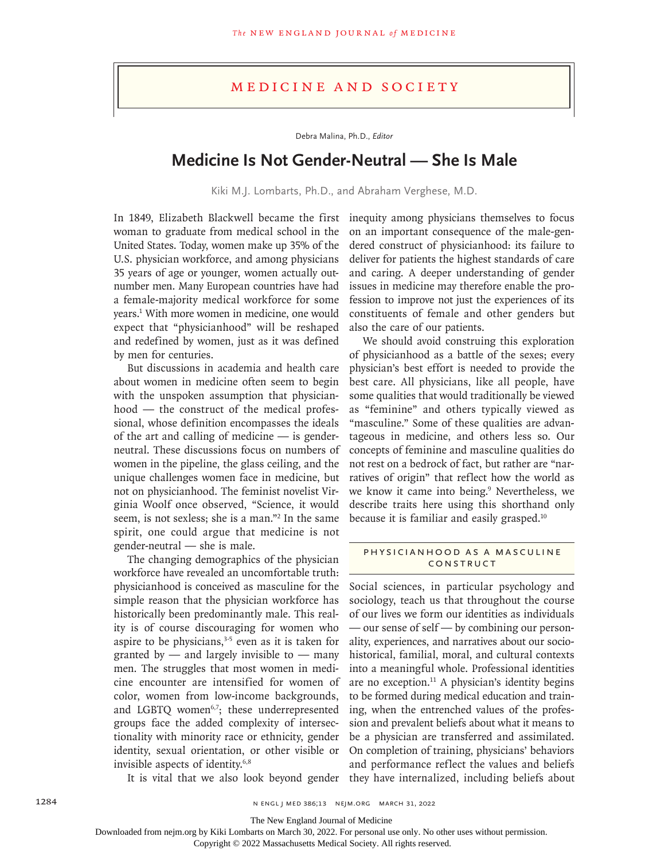## Medicine and Society

Debra Malina, Ph.D., *Editor*

# **Medicine Is Not Gender-Neutral — She Is Male**

Kiki M.J. Lombarts, Ph.D., and Abraham Verghese, M.D.

In 1849, Elizabeth Blackwell became the first woman to graduate from medical school in the United States. Today, women make up 35% of the U.S. physician workforce, and among physicians 35 years of age or younger, women actually outnumber men. Many European countries have had a female-majority medical workforce for some years.1 With more women in medicine, one would expect that "physicianhood" will be reshaped and redefined by women, just as it was defined by men for centuries.

But discussions in academia and health care about women in medicine often seem to begin with the unspoken assumption that physicianhood — the construct of the medical professional, whose definition encompasses the ideals of the art and calling of medicine — is genderneutral. These discussions focus on numbers of women in the pipeline, the glass ceiling, and the unique challenges women face in medicine, but not on physicianhood. The feminist novelist Virginia Woolf once observed, "Science, it would seem, is not sexless; she is a man."2 In the same spirit, one could argue that medicine is not gender-neutral — she is male.

The changing demographics of the physician workforce have revealed an uncomfortable truth: physicianhood is conceived as masculine for the simple reason that the physician workforce has historically been predominantly male. This reality is of course discouraging for women who aspire to be physicians, $3-5$  even as it is taken for granted by  $-$  and largely invisible to  $-$  many men. The struggles that most women in medicine encounter are intensified for women of color, women from low-income backgrounds, and LGBTQ women<sup>6,7</sup>; these underrepresented groups face the added complexity of intersectionality with minority race or ethnicity, gender identity, sexual orientation, or other visible or invisible aspects of identity.6,8

inequity among physicians themselves to focus on an important consequence of the male-gendered construct of physicianhood: its failure to deliver for patients the highest standards of care and caring. A deeper understanding of gender issues in medicine may therefore enable the profession to improve not just the experiences of its constituents of female and other genders but also the care of our patients.

We should avoid construing this exploration of physicianhood as a battle of the sexes; every physician's best effort is needed to provide the best care. All physicians, like all people, have some qualities that would traditionally be viewed as "feminine" and others typically viewed as "masculine." Some of these qualities are advantageous in medicine, and others less so. Our concepts of feminine and masculine qualities do not rest on a bedrock of fact, but rather are "narratives of origin" that reflect how the world as we know it came into being.<sup>9</sup> Nevertheless, we describe traits here using this shorthand only because it is familiar and easily grasped.<sup>10</sup>

#### Physicianhood as a Masculine CONSTRUCT

It is vital that we also look beyond gender they have internalized, including beliefs about Social sciences, in particular psychology and sociology, teach us that throughout the course of our lives we form our identities as individuals — our sense of self — by combining our personality, experiences, and narratives about our sociohistorical, familial, moral, and cultural contexts into a meaningful whole. Professional identities are no exception.<sup>11</sup> A physician's identity begins to be formed during medical education and training, when the entrenched values of the profession and prevalent beliefs about what it means to be a physician are transferred and assimilated. On completion of training, physicians' behaviors and performance reflect the values and beliefs

1284 **1284** n engl j med 386;13 n ejm.org March 31, 2022

The New England Journal of Medicine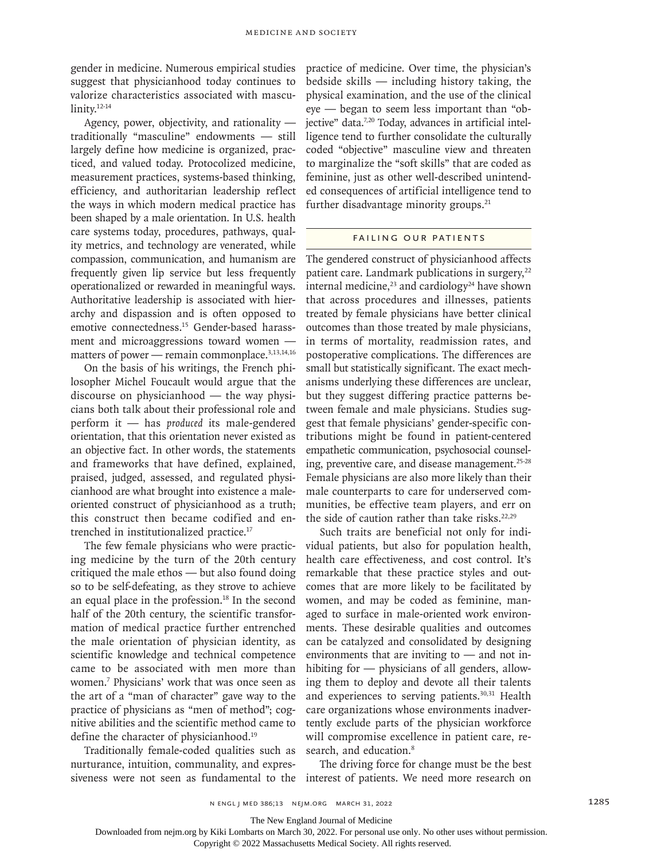gender in medicine. Numerous empirical studies suggest that physicianhood today continues to valorize characteristics associated with masculinity.12-14

Agency, power, objectivity, and rationality traditionally "masculine" endowments — still largely define how medicine is organized, practiced, and valued today. Protocolized medicine, measurement practices, systems-based thinking, efficiency, and authoritarian leadership reflect the ways in which modern medical practice has been shaped by a male orientation. In U.S. health care systems today, procedures, pathways, quality metrics, and technology are venerated, while compassion, communication, and humanism are frequently given lip service but less frequently operationalized or rewarded in meaningful ways. Authoritative leadership is associated with hierarchy and dispassion and is often opposed to emotive connectedness.15 Gender-based harassment and microaggressions toward women matters of power — remain commonplace.<sup>3,13,14,16</sup>

On the basis of his writings, the French philosopher Michel Foucault would argue that the discourse on physicianhood — the way physicians both talk about their professional role and perform it — has *produced* its male-gendered orientation, that this orientation never existed as an objective fact. In other words, the statements and frameworks that have defined, explained, praised, judged, assessed, and regulated physicianhood are what brought into existence a maleoriented construct of physicianhood as a truth; this construct then became codified and entrenched in institutionalized practice.17

The few female physicians who were practicing medicine by the turn of the 20th century critiqued the male ethos — but also found doing so to be self-defeating, as they strove to achieve an equal place in the profession.<sup>18</sup> In the second half of the 20th century, the scientific transformation of medical practice further entrenched the male orientation of physician identity, as scientific knowledge and technical competence came to be associated with men more than women.7 Physicians' work that was once seen as the art of a "man of character" gave way to the practice of physicians as "men of method"; cognitive abilities and the scientific method came to define the character of physicianhood.<sup>19</sup>

Traditionally female-coded qualities such as nurturance, intuition, communality, and expressiveness were not seen as fundamental to the

practice of medicine. Over time, the physician's bedside skills — including history taking, the physical examination, and the use of the clinical eye — began to seem less important than "objective" data.<sup>7,20</sup> Today, advances in artificial intelligence tend to further consolidate the culturally coded "objective" masculine view and threaten to marginalize the "soft skills" that are coded as feminine, just as other well-described unintended consequences of artificial intelligence tend to further disadvantage minority groups.<sup>21</sup>

#### Failing Our Patients

The gendered construct of physicianhood affects patient care. Landmark publications in surgery,<sup>22</sup> internal medicine,<sup>23</sup> and cardiology<sup>24</sup> have shown that across procedures and illnesses, patients treated by female physicians have better clinical outcomes than those treated by male physicians, in terms of mortality, readmission rates, and postoperative complications. The differences are small but statistically significant. The exact mechanisms underlying these differences are unclear, but they suggest differing practice patterns between female and male physicians. Studies suggest that female physicians' gender-specific contributions might be found in patient-centered empathetic communication, psychosocial counseling, preventive care, and disease management.<sup>25-28</sup> Female physicians are also more likely than their male counterparts to care for underserved communities, be effective team players, and err on the side of caution rather than take risks.<sup>22,29</sup>

Such traits are beneficial not only for individual patients, but also for population health, health care effectiveness, and cost control. It's remarkable that these practice styles and outcomes that are more likely to be facilitated by women, and may be coded as feminine, managed to surface in male-oriented work environments. These desirable qualities and outcomes can be catalyzed and consolidated by designing environments that are inviting to  $-$  and not inhibiting for — physicians of all genders, allowing them to deploy and devote all their talents and experiences to serving patients.<sup>30,31</sup> Health care organizations whose environments inadvertently exclude parts of the physician workforce will compromise excellence in patient care, research, and education.<sup>8</sup>

The driving force for change must be the best interest of patients. We need more research on

The New England Journal of Medicine

Downloaded from nejm.org by Kiki Lombarts on March 30, 2022. For personal use only. No other uses without permission.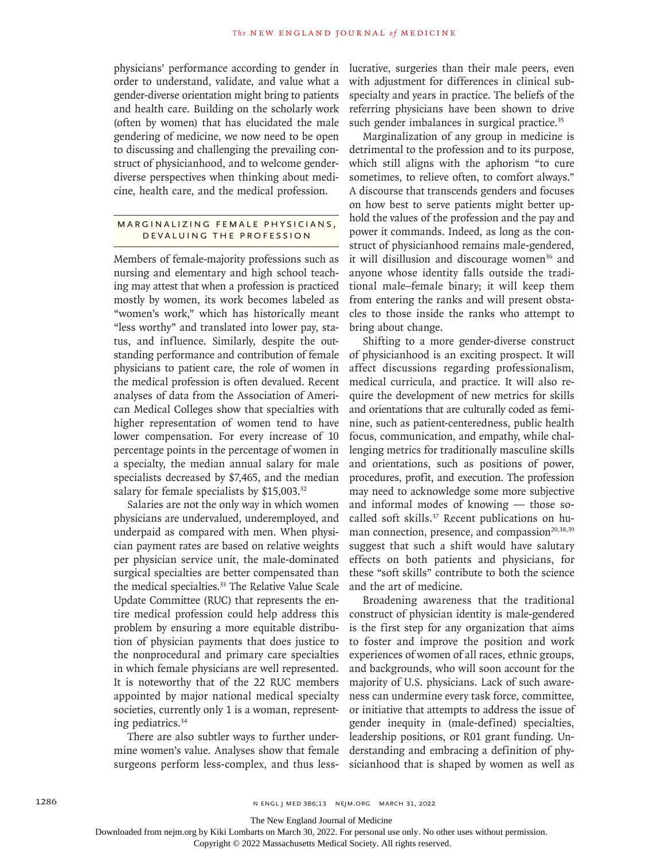physicians' performance according to gender in order to understand, validate, and value what a gender-diverse orientation might bring to patients and health care. Building on the scholarly work (often by women) that has elucidated the male gendering of medicine, we now need to be open to discussing and challenging the prevailing construct of physicianhood, and to welcome genderdiverse perspectives when thinking about medicine, health care, and the medical profession.

### Marginalizing Female Physicians, Devaluing the Profession

Members of female-majority professions such as nursing and elementary and high school teaching may attest that when a profession is practiced mostly by women, its work becomes labeled as "women's work," which has historically meant "less worthy" and translated into lower pay, status, and influence. Similarly, despite the outstanding performance and contribution of female physicians to patient care, the role of women in the medical profession is often devalued. Recent analyses of data from the Association of American Medical Colleges show that specialties with higher representation of women tend to have lower compensation. For every increase of 10 percentage points in the percentage of women in a specialty, the median annual salary for male specialists decreased by \$7,465, and the median salary for female specialists by \$15,003.<sup>32</sup>

Salaries are not the only way in which women physicians are undervalued, underemployed, and underpaid as compared with men. When physician payment rates are based on relative weights per physician service unit, the male-dominated surgical specialties are better compensated than the medical specialties.33 The Relative Value Scale Update Committee (RUC) that represents the entire medical profession could help address this problem by ensuring a more equitable distribution of physician payments that does justice to the nonprocedural and primary care specialties in which female physicians are well represented. It is noteworthy that of the 22 RUC members appointed by major national medical specialty societies, currently only 1 is a woman, representing pediatrics.34

There are also subtler ways to further undermine women's value. Analyses show that female surgeons perform less-complex, and thus lesslucrative, surgeries than their male peers, even with adjustment for differences in clinical subspecialty and years in practice. The beliefs of the referring physicians have been shown to drive such gender imbalances in surgical practice.<sup>35</sup>

Marginalization of any group in medicine is detrimental to the profession and to its purpose, which still aligns with the aphorism "to cure sometimes, to relieve often, to comfort always." A discourse that transcends genders and focuses on how best to serve patients might better uphold the values of the profession and the pay and power it commands. Indeed, as long as the construct of physicianhood remains male-gendered, it will disillusion and discourage women<sup>36</sup> and anyone whose identity falls outside the traditional male–female binary; it will keep them from entering the ranks and will present obstacles to those inside the ranks who attempt to bring about change.

Shifting to a more gender-diverse construct of physicianhood is an exciting prospect. It will affect discussions regarding professionalism, medical curricula, and practice. It will also require the development of new metrics for skills and orientations that are culturally coded as feminine, such as patient-centeredness, public health focus, communication, and empathy, while challenging metrics for traditionally masculine skills and orientations, such as positions of power, procedures, profit, and execution. The profession may need to acknowledge some more subjective and informal modes of knowing — those socalled soft skills.<sup>37</sup> Recent publications on human connection, presence, and compassion<sup>20,38,39</sup> suggest that such a shift would have salutary effects on both patients and physicians, for these "soft skills" contribute to both the science and the art of medicine.

Broadening awareness that the traditional construct of physician identity is male-gendered is the first step for any organization that aims to foster and improve the position and work experiences of women of all races, ethnic groups, and backgrounds, who will soon account for the majority of U.S. physicians. Lack of such awareness can undermine every task force, committee, or initiative that attempts to address the issue of gender inequity in (male-defined) specialties, leadership positions, or R01 grant funding. Understanding and embracing a definition of physicianhood that is shaped by women as well as

The New England Journal of Medicine

Downloaded from nejm.org by Kiki Lombarts on March 30, 2022. For personal use only. No other uses without permission.